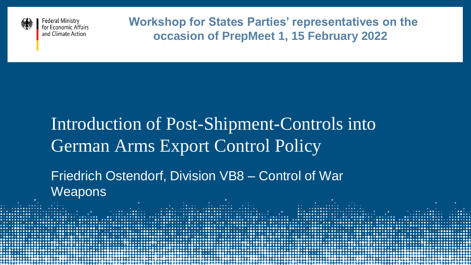

**Federal Ministry** for Economic Affairs and Climate Action

**Workshop for States Parties' representatives on the occasion of PrepMeet 1, 15 February 2022**

### Introduction of Post-Shipment-Controls into German Arms Export Control Policy

Friedrich Ostendorf, Division VB8 – Control of War **Weapons** s san dun ainadh ailte a s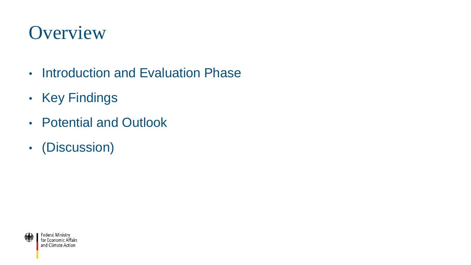### **Overview**

- Introduction and Evaluation Phase
- Key Findings
- Potential and Outlook
- (Discussion)

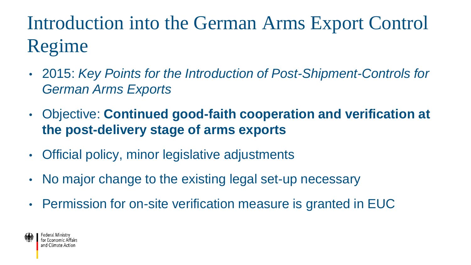Introduction into the German Arms Export Control Regime

- 2015: *Key Points for the Introduction of Post-Shipment-Controls for German Arms Exports*
- Objective: **Continued good-faith cooperation and verification at the post-delivery stage of arms exports**
- Official policy, minor legislative adjustments
- No major change to the existing legal set-up necessary
- Permission for on-site verification measure is granted in EUC

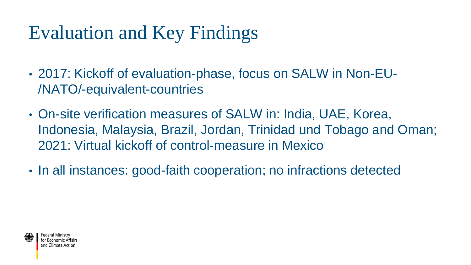## Evaluation and Key Findings

- 2017: Kickoff of evaluation-phase, focus on SALW in Non-EU- /NATO/-equivalent-countries
- On-site verification measures of SALW in: India, UAE, Korea, Indonesia, Malaysia, Brazil, Jordan, Trinidad und Tobago and Oman; 2021: Virtual kickoff of control-measure in Mexico
- In all instances: good-faith cooperation; no infractions detected

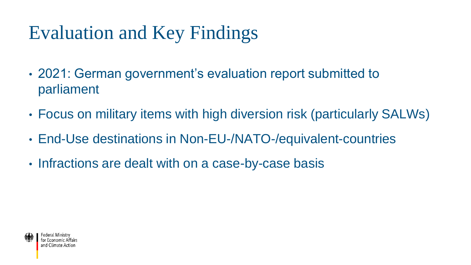# Evaluation and Key Findings

- 2021: German government's evaluation report submitted to parliament
- Focus on military items with high diversion risk (particularly SALWs)
- End-Use destinations in Non-EU-/NATO-/equivalent-countries
- Infractions are dealt with on a case-by-case basis

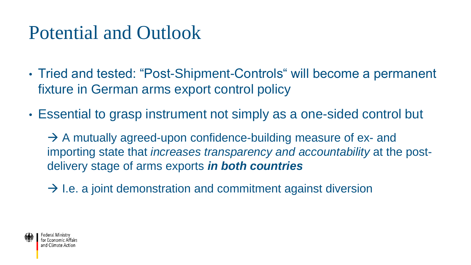### Potential and Outlook

- Tried and tested: "Post-Shipment-Controls" will become a permanent fixture in German arms export control policy
- Essential to grasp instrument not simply as a one-sided control but

 $\rightarrow$  A mutually agreed-upon confidence-building measure of ex- and importing state that *increases transparency and accountability* at the postdelivery stage of arms exports *in both countries*

 $\rightarrow$  I.e. a joint demonstration and commitment against diversion

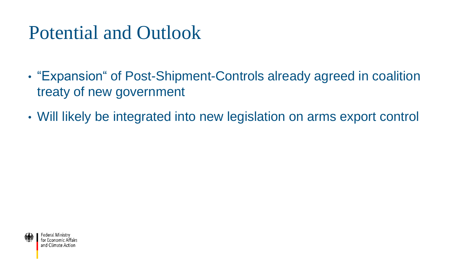### Potential and Outlook

- "Expansion" of Post-Shipment-Controls already agreed in coalition treaty of new government
- Will likely be integrated into new legislation on arms export control